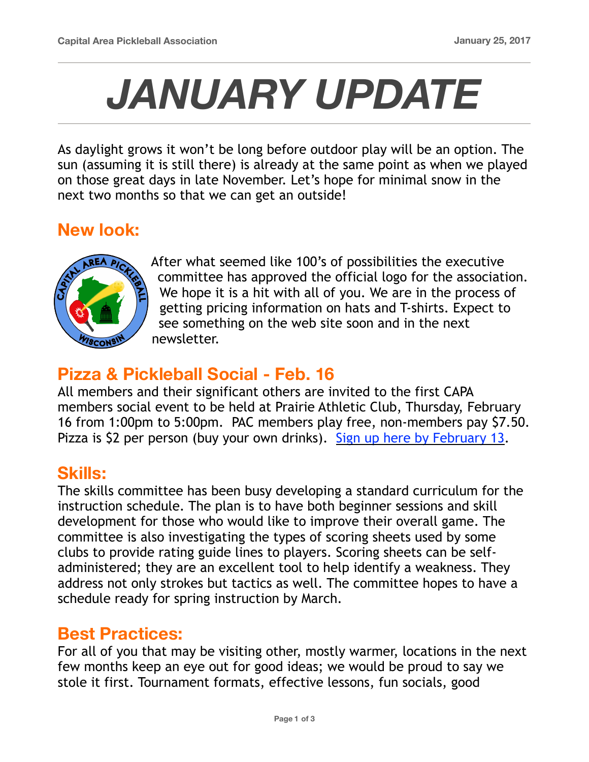# *JANUARY UPDATE*

As daylight grows it won't be long before outdoor play will be an option. The sun (assuming it is still there) is already at the same point as when we played on those great days in late November. Let's hope for minimal snow in the next two months so that we can get an outside!

## **New look:**



After what seemed like 100's of possibilities the executive committee has approved the official logo for the association. We hope it is a hit with all of you. We are in the process of getting pricing information on hats and T-shirts. Expect to see something on the web site soon and in the next newsletter.

## **Pizza & Pickleball Social - Feb. 16**

All members and their significant others are invited to the first CAPA members social event to be held at Prairie Athletic Club, Thursday, February 16 from 1:00pm to 5:00pm. PAC members play free, non-members pay \$7.50. Pizza is \$2 per person (buy your own drinks). [Sign up here by February 13.](https://goo.gl/forms/yq5mStMiuCFlF5Hm1)

#### **Skills:**

The skills committee has been busy developing a standard curriculum for the instruction schedule. The plan is to have both beginner sessions and skill development for those who would like to improve their overall game. The committee is also investigating the types of scoring sheets used by some clubs to provide rating guide lines to players. Scoring sheets can be selfadministered; they are an excellent tool to help identify a weakness. They address not only strokes but tactics as well. The committee hopes to have a schedule ready for spring instruction by March.

#### **Best Practices:**

For all of you that may be visiting other, mostly warmer, locations in the next few months keep an eye out for good ideas; we would be proud to say we stole it first. Tournament formats, effective lessons, fun socials, good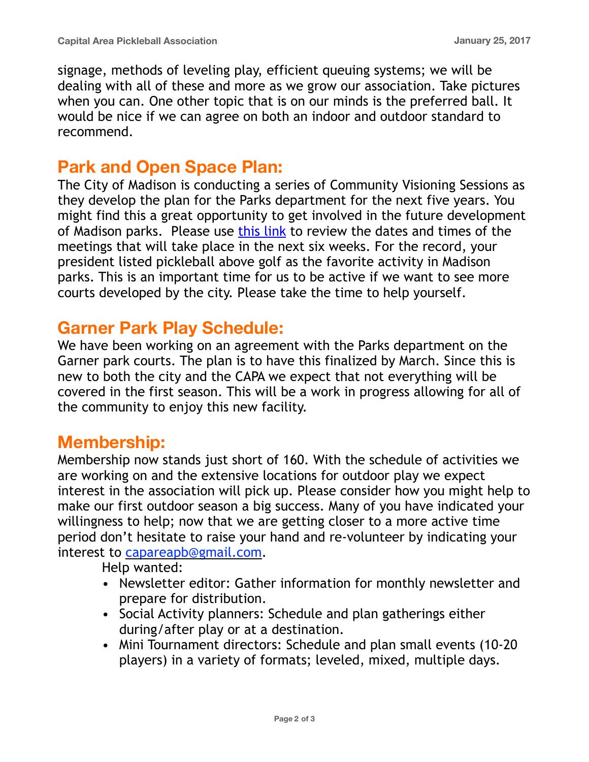signage, methods of leveling play, efficient queuing systems; we will be dealing with all of these and more as we grow our association. Take pictures when you can. One other topic that is on our minds is the preferred ball. It would be nice if we can agree on both an indoor and outdoor standard to recommend.

## **Park and Open Space Plan:**

The City of Madison is conducting a series of Community Visioning Sessions as they develop the plan for the Parks department for the next five years. You might find this a great opportunity to get involved in the future development of Madison parks. Please use [this link](https://www.cityofmadison.com/parks/projects/2018-2022-park-open-space-plan) to review the dates and times of the meetings that will take place in the next six weeks. For the record, your president listed pickleball above golf as the favorite activity in Madison parks. This is an important time for us to be active if we want to see more courts developed by the city. Please take the time to help yourself.

## **Garner Park Play Schedule:**

We have been working on an agreement with the Parks department on the Garner park courts. The plan is to have this finalized by March. Since this is new to both the city and the CAPA we expect that not everything will be covered in the first season. This will be a work in progress allowing for all of the community to enjoy this new facility.

## **Membership:**

Membership now stands just short of 160. With the schedule of activities we are working on and the extensive locations for outdoor play we expect interest in the association will pick up. Please consider how you might help to make our first outdoor season a big success. Many of you have indicated your willingness to help; now that we are getting closer to a more active time period don't hesitate to raise your hand and re-volunteer by indicating your interest to [capareapb@gmail.com](mailto:capareapb@gmail.com).

Help wanted:

- Newsletter editor: Gather information for monthly newsletter and prepare for distribution.
- Social Activity planners: Schedule and plan gatherings either during/after play or at a destination.
- Mini Tournament directors: Schedule and plan small events (10-20 players) in a variety of formats; leveled, mixed, multiple days.